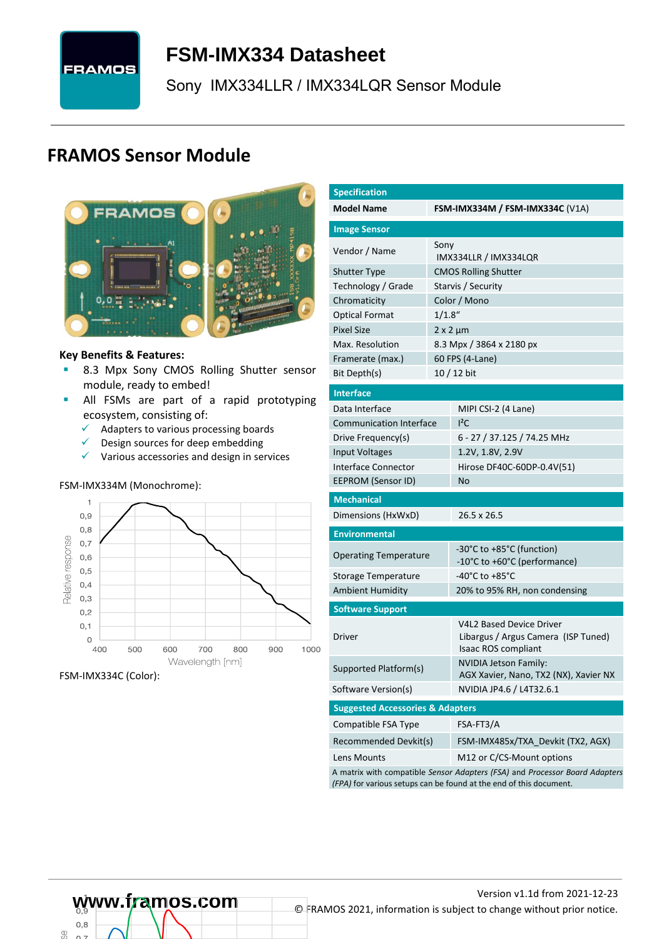

# <span id="page-0-7"></span>**FSM-IMX334 [Datasheet](#page-0-0)**

<span id="page-0-3"></span>[Sony](#page-0-1) [IMX334LLR / IMX334LQR](#page-0-2) Sensor Module

# **FRAMOS Sensor Module**



#### **Key Benefits & Features:**

- **B.3 Mpx [Sony](#page-0-1) [CMOS Rolling Shutter](#page-0-5) sensor** module, ready to embed!
- **E** All FSMs are part of a rapid prototyping ecosystem, consisting of:
	- ✓ Adapters to various processing boards
	- ✓ Design sources for deep embedding
	- ✓ Various accessories and design in services

#### FSM-IMX334M (Monochrome):



FSM-IMX334C (Color):

<span id="page-0-6"></span><span id="page-0-5"></span><span id="page-0-4"></span><span id="page-0-2"></span><span id="page-0-1"></span><span id="page-0-0"></span>

| <b>Specification</b>                                                        |           |                                                                        |  |  |  |  |
|-----------------------------------------------------------------------------|-----------|------------------------------------------------------------------------|--|--|--|--|
| <b>Model Name</b>                                                           |           | FSM-IMX334M / FSM-IMX334C $(V1A)$                                      |  |  |  |  |
| <b>Image Sensor</b>                                                         |           |                                                                        |  |  |  |  |
| Vendor / Name                                                               | Sony      | IMX334LLR / IMX334LQR                                                  |  |  |  |  |
| <b>Shutter Type</b>                                                         |           | <b>CMOS Rolling Shutter</b>                                            |  |  |  |  |
| Technology / Grade                                                          |           | Starvis / Security                                                     |  |  |  |  |
| Chromaticity                                                                |           | Color / Mono                                                           |  |  |  |  |
| <b>Optical Format</b>                                                       | $1/1.8$ " |                                                                        |  |  |  |  |
| <b>Pixel Size</b>                                                           |           | $2 \times 2 \mu m$                                                     |  |  |  |  |
| Max. Resolution                                                             |           | 8.3 Mpx / 3864 x 2180 px                                               |  |  |  |  |
| Framerate (max.)                                                            |           | 60 FPS (4-Lane)                                                        |  |  |  |  |
| Bit Depth(s)                                                                |           | 10 / 12 bit                                                            |  |  |  |  |
| <b>Interface</b>                                                            |           |                                                                        |  |  |  |  |
| Data Interface                                                              |           | MIPI CSI-2 (4 Lane)                                                    |  |  |  |  |
| <b>Communication Interface</b>                                              |           | $1^2C$                                                                 |  |  |  |  |
| Drive Frequency(s)                                                          |           | 6 - 27 / 37.125 / 74.25 MHz                                            |  |  |  |  |
| <b>Input Voltages</b>                                                       |           | 1.2V, 1.8V, 2.9V                                                       |  |  |  |  |
| Interface Connector                                                         |           | Hirose DF40C-60DP-0.4V(51)                                             |  |  |  |  |
| EEPROM (Sensor ID)                                                          |           | No                                                                     |  |  |  |  |
| <b>Mechanical</b>                                                           |           |                                                                        |  |  |  |  |
| Dimensions (HxWxD)                                                          |           | 26.5 x 26.5                                                            |  |  |  |  |
| <b>Environmental</b>                                                        |           |                                                                        |  |  |  |  |
| <b>Operating Temperature</b>                                                |           | -30°C to +85°C (function)                                              |  |  |  |  |
|                                                                             |           | -10°C to +60°C (performance)<br>-40°C to +85°C                         |  |  |  |  |
| Storage Temperature                                                         |           |                                                                        |  |  |  |  |
| <b>Ambient Humidity</b>                                                     |           | 20% to 95% RH, non condensing                                          |  |  |  |  |
| <b>Software Support</b>                                                     |           |                                                                        |  |  |  |  |
| Driver                                                                      |           | <b>V4L2 Based Device Driver</b><br>Libargus / Argus Camera (ISP Tuned) |  |  |  |  |
|                                                                             |           | Isaac ROS compliant                                                    |  |  |  |  |
| Supported Platform(s)                                                       |           | NVIDIA Jetson Family:<br>AGX Xavier, Nano, TX2 (NX), Xavier NX         |  |  |  |  |
| Software Version(s)                                                         |           | NVIDIA JP4.6 / L4T32.6.1                                               |  |  |  |  |
| <b>Suggested Accessories &amp; Adapters</b>                                 |           |                                                                        |  |  |  |  |
| Compatible FSA Type                                                         |           | FSA-FT3/A                                                              |  |  |  |  |
| Recommended Devkit(s)                                                       |           | FSM-IMX485x/TXA_Devkit (TX2, AGX)                                      |  |  |  |  |
| Lens Mounts                                                                 |           | M12 or C/CS-Mount options                                              |  |  |  |  |
| A matrix with compatible Sensor Adapters (FSA) and Processor Board Adapters |           |                                                                        |  |  |  |  |

 $0.8$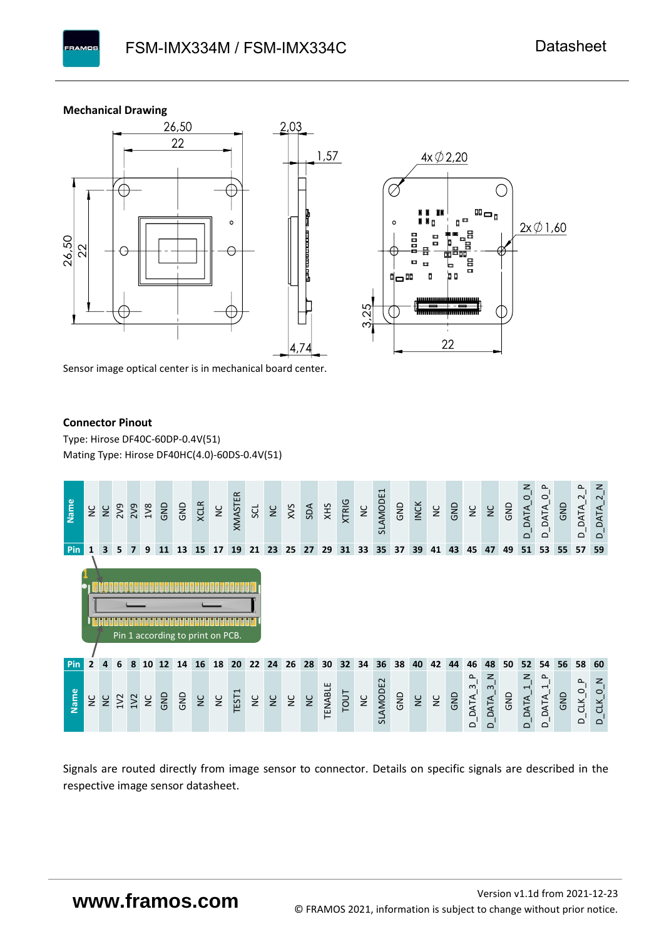# **Mechanical Drawing**

**PAMOS** 





Sensor image optical center is in mechanical board center.

#### **Connector Pinout**

Type: [Hirose DF40C-60DP-0.4V\(51](#page-0-6)[\)](#page-0-6)  Mating Type: Hirose DF40HC(4.0)-60DS-0.4V(51)



Signals are routed directly from image sensor to connector. Details on specific signals are described in the respective image sensor datasheet.

# **www.framos.com**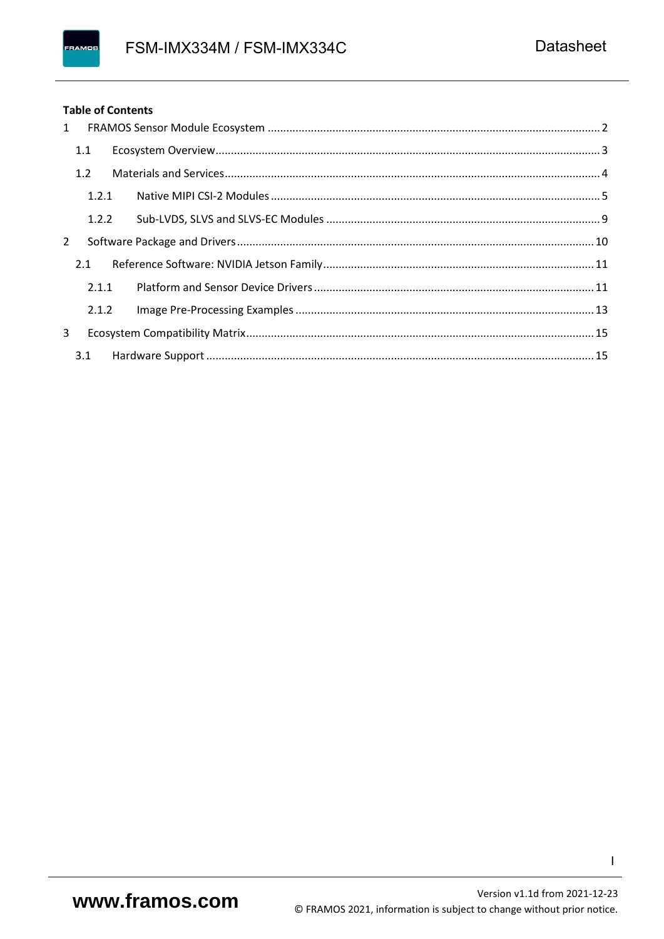# FRAMOS

#### **Table of Contents**

| $1 \quad$ |       |  |  |
|-----------|-------|--|--|
|           | 1.1   |  |  |
|           | 1.2   |  |  |
|           | 1.2.1 |  |  |
|           | 1.2.2 |  |  |
| 2         |       |  |  |
|           | 2.1   |  |  |
|           | 2.1.1 |  |  |
|           | 2.1.2 |  |  |
| 3         |       |  |  |
|           | 3.1   |  |  |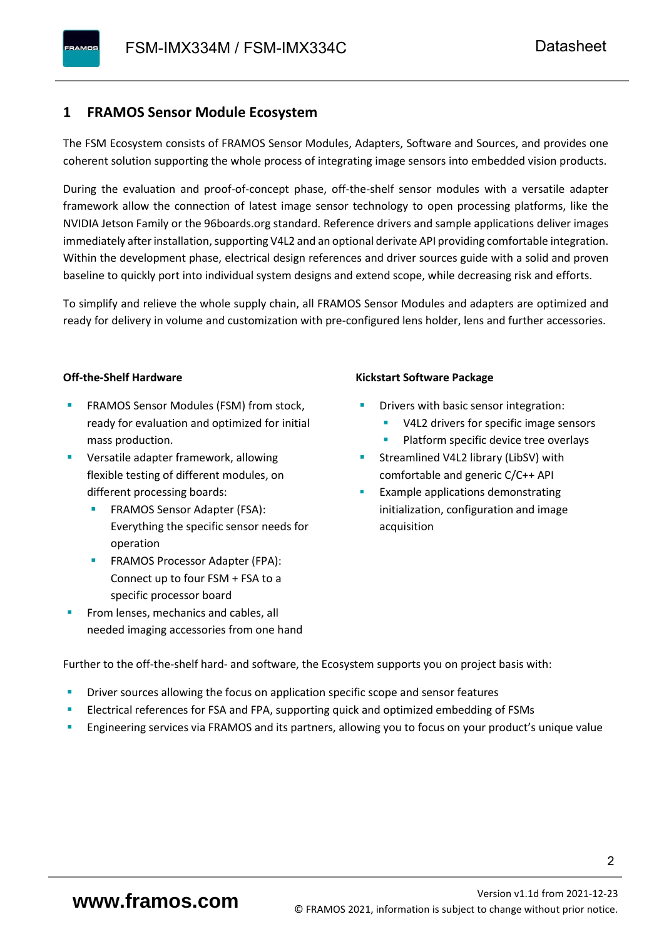# <span id="page-3-0"></span>**1 FRAMOS Sensor Module Ecosystem**

The FSM Ecosystem consists of FRAMOS Sensor Modules, Adapters, Software and Sources, and provides one coherent solution supporting the whole process of integrating image sensors into embedded vision products.

During the evaluation and proof-of-concept phase, off-the-shelf sensor modules with a versatile adapter framework allow the connection of latest image sensor technology to open processing platforms, like the NVIDIA Jetson Family or the 96boards.org standard. Reference drivers and sample applications deliver images immediately after installation, supporting V4L2 and an optional derivate API providing comfortable integration. Within the development phase, electrical design references and driver sources guide with a solid and proven baseline to quickly port into individual system designs and extend scope, while decreasing risk and efforts.

To simplify and relieve the whole supply chain, all FRAMOS Sensor Modules and adapters are optimized and ready for delivery in volume and customization with pre-configured lens holder, lens and further accessories.

#### **Off-the-Shelf Hardware**

- FRAMOS Sensor Modules (FSM) from stock, ready for evaluation and optimized for initial mass production.
- Versatile adapter framework, allowing flexible testing of different modules, on different processing boards:
	- FRAMOS Sensor Adapter (FSA): Everything the specific sensor needs for operation
	- FRAMOS Processor Adapter (FPA): Connect up to four FSM + FSA to a specific processor board
- From lenses, mechanics and cables, all needed imaging accessories from one hand

#### **Kickstart Software Package**

- Drivers with basic sensor integration:
	- V4L2 drivers for specific image sensors
	- Platform specific device tree overlays
- Streamlined V4L2 library (LibSV) with comfortable and generic C/C++ API
- Example applications demonstrating initialization, configuration and image acquisition

Further to the off-the-shelf hard- and software, the Ecosystem supports you on project basis with:

- Driver sources allowing the focus on application specific scope and sensor features
- Electrical references for FSA and FPA, supporting quick and optimized embedding of FSMs
- Engineering services via FRAMOS and its partners, allowing you to focus on your product's unique value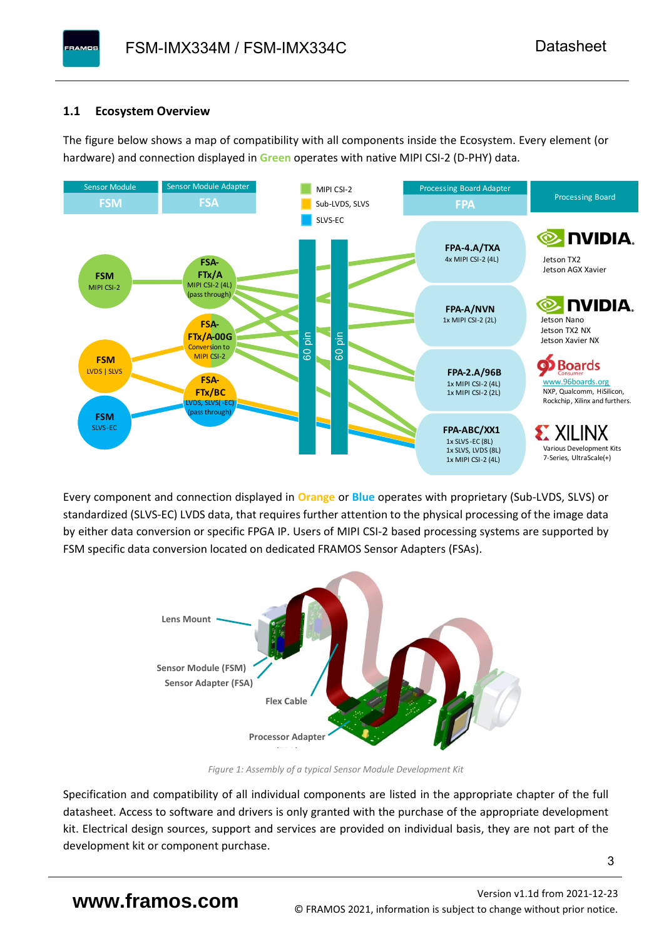# <span id="page-4-0"></span>**1.1 Ecosystem Overview**

**PAMOS** 

The figure below shows a map of compatibility with all components inside the Ecosystem. Every element (or hardware) and connection displayed in **Green** operates with native MIPI CSI-2 (D-PHY) data.



Every component and connection displayed in **Orange** or **Blue** operates with proprietary (Sub-LVDS, SLVS) or standardized (SLVS-EC) LVDS data, that requires further attention to the physical processing of the image data by either data conversion or specific FPGA IP. Users of MIPI CSI-2 based processing systems are supported by FSM specific data conversion located on dedicated FRAMOS Sensor Adapters (FSAs).



*Figure 1: Assembly of a typical Sensor Module Development Kit*

Specification and compatibility of all individual components are listed in the appropriate chapter of the full datasheet. Access to software and drivers is only granted with the purchase of the appropriate development kit. Electrical design sources, support and services are provided on individual basis, they are not part of the development kit or component purchase.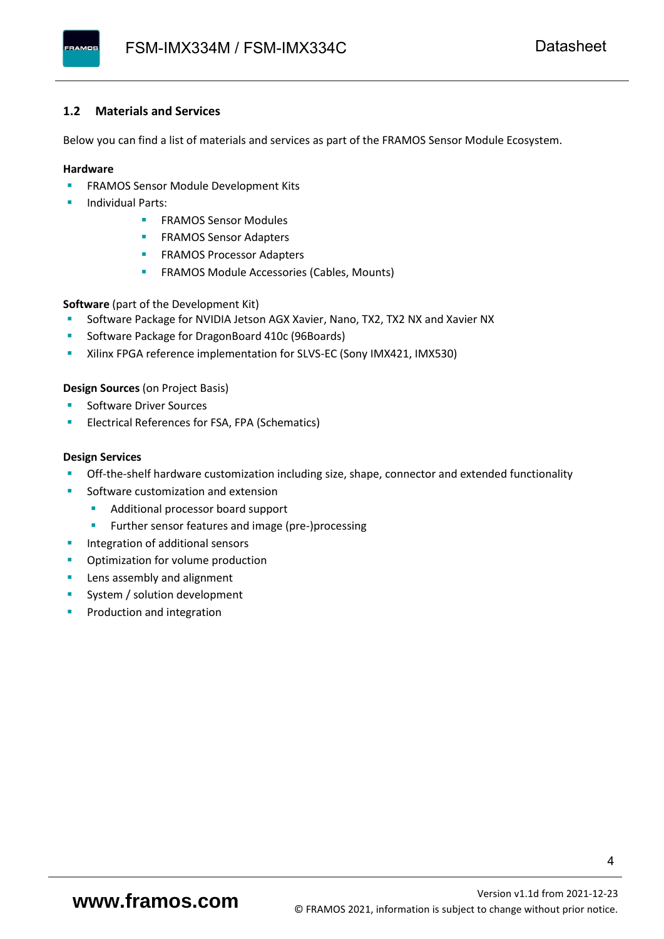## <span id="page-5-0"></span>**1.2 Materials and Services**

Below you can find a list of materials and services as part of the FRAMOS Sensor Module Ecosystem.

#### **Hardware**

- **EXECTED FRAMOS Sensor Module Development Kits**
- **Individual Parts:** 
	- FRAMOS Sensor Modules
	- **FRAMOS Sensor Adapters**
	- **EXAMOS Processor Adapters**
	- **EXECTED** FRAMOS Module Accessories (Cables, Mounts)

**Software** (part of the Development Kit)

- Software Package for NVIDIA Jetson AGX Xavier, Nano, TX2, TX2 NX and Xavier NX
- Software Package for DragonBoard 410c (96Boards)
- **E** Xilinx FPGA reference implementation for SLVS-EC (Sony IMX421, IMX530)

#### **Design Sources** (on Project Basis)

- Software Driver Sources
- Electrical References for FSA, FPA (Schematics)

#### **Design Services**

- Off-the-shelf hardware customization including size, shape, connector and extended functionality
- Software customization and extension
	- Additional processor board support
	- Further sensor features and image (pre-)processing
- **■** Integration of additional sensors
- Optimization for volume production
- Lens assembly and alignment
- System / solution development
- Production and integration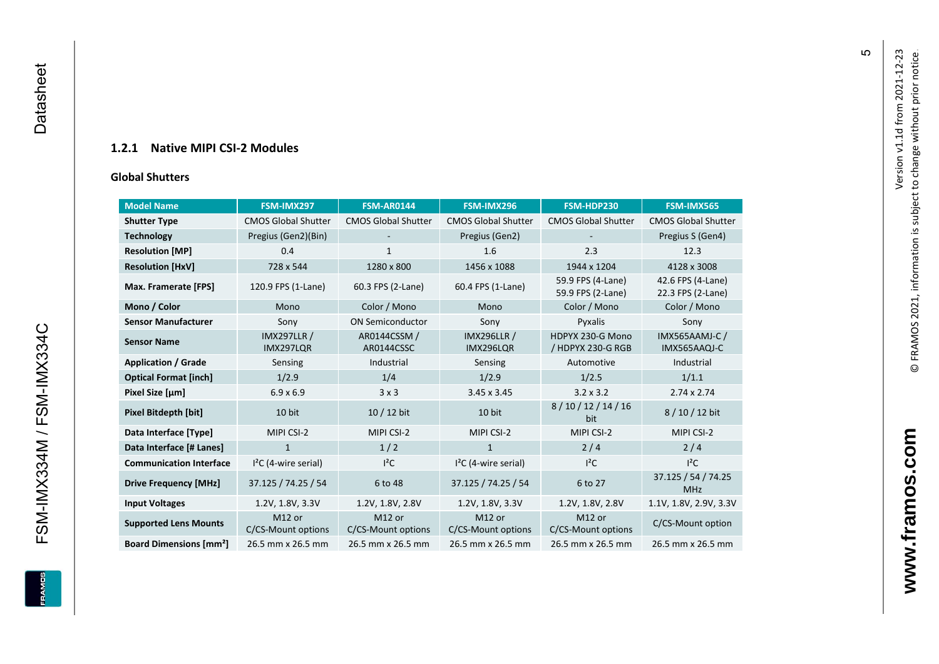# **1.2.1 Native MIPI CSI - 2 Modules**

### **[Global Shu](#page-0-7)tters**

<span id="page-6-0"></span>

| <b>Model Name</b>                        | FSM-IMX297                      | <b>FSM-AR0144</b>            | FSM-IMX296                      | FSM-HDP230                             | FSM-IMX565                             |
|------------------------------------------|---------------------------------|------------------------------|---------------------------------|----------------------------------------|----------------------------------------|
| <b>Shutter Type</b>                      | <b>CMOS Global Shutter</b>      | <b>CMOS Global Shutter</b>   | <b>CMOS Global Shutter</b>      | <b>CMOS Global Shutter</b>             | <b>CMOS Global Shutter</b>             |
| <b>Technology</b>                        | Pregius (Gen2)(Bin)             |                              | Pregius (Gen2)                  |                                        | Pregius S (Gen4)                       |
| <b>Resolution [MP]</b>                   | 0.4                             | $\mathbf{1}$                 | 1.6                             | 2.3                                    | 12.3                                   |
| <b>Resolution [HxV]</b>                  | 728 x 544                       | 1280 x 800                   | 1456 x 1088                     | 1944 x 1204                            | 4128 x 3008                            |
| Max. Framerate [FPS]                     | 120.9 FPS (1-Lane)              | 60.3 FPS (2-Lane)            | 60.4 FPS (1-Lane)               | 59.9 FPS (4-Lane)<br>59.9 FPS (2-Lane) | 42.6 FPS (4-Lane)<br>22.3 FPS (2-Lane) |
| Mono / Color                             | Mono                            | Color / Mono                 | Mono                            | Color / Mono                           | Color / Mono                           |
| <b>Sensor Manufacturer</b>               | Sony                            | <b>ON Semiconductor</b>      | Sony                            | Pyxalis                                | Sony                                   |
| <b>Sensor Name</b>                       | <b>IMX297LLR /</b><br>IMX297LQR | AR0144CSSM /<br>AR0144CSSC   | <b>IMX296LLR /</b><br>IMX296LQR | HDPYX 230-G Mono<br>/ HDPYX 230-G RGB  | <b>IMX565AAMJ-C/</b><br>IMX565AAQJ-C   |
| <b>Application / Grade</b>               | Sensing                         | Industrial                   | Sensing                         | Automotive                             | Industrial                             |
| <b>Optical Format [inch]</b>             | 1/2.9                           | 1/4                          | 1/2.9                           | 1/2.5                                  | 1/1.1                                  |
| Pixel Size [µm]                          | $6.9 \times 6.9$                | 3x3                          | $3.45 \times 3.45$              | $3.2 \times 3.2$                       | $2.74 \times 2.74$                     |
| <b>Pixel Bitdepth [bit]</b>              | 10 bit                          | $10/12$ bit                  | 10 bit                          | 8/10/12/14/16<br>bit                   | 8/10/12 bit                            |
| Data Interface [Type]                    | MIPI CSI-2                      | MIPI CSI-2                   | MIPI CSI-2                      | MIPI CSI-2                             | MIPI CSI-2                             |
| Data Interface [# Lanes]                 | $\mathbf{1}$                    | 1/2                          | $\mathbf{1}$                    | 2/4                                    | 2/4                                    |
| <b>Communication Interface</b>           | $I2C$ (4-wire serial)           | $I^2C$                       | $I2C$ (4-wire serial)           | $l^2C$                                 | $I^2C$                                 |
| <b>Drive Frequency [MHz]</b>             | 37.125 / 74.25 / 54             | 6 to 48                      | 37.125 / 74.25 / 54             | 6 to 27                                | 37.125 / 54 / 74.25<br><b>MHz</b>      |
| <b>Input Voltages</b>                    | 1.2V, 1.8V, 3.3V                | 1.2V, 1.8V, 2.8V             | 1.2V, 1.8V, 3.3V                | 1.2V, 1.8V, 2.8V                       | 1.1V, 1.8V, 2.9V, 3.3V                 |
| <b>Supported Lens Mounts</b>             | M12 or<br>C/CS-Mount options    | M12 or<br>C/CS-Mount options | M12 or<br>C/CS-Mount options    | M12 or<br>C/CS-Mount options           | C/CS-Mount option                      |
| <b>Board Dimensions [mm<sup>2</sup>]</b> | 26.5 mm x 26.5 mm               | 26.5 mm x 26.5 mm            | 26.5 mm x 26.5 mm               | 26.5 mm x 26.5 mm                      | 26.5 mm x 26.5 mm                      |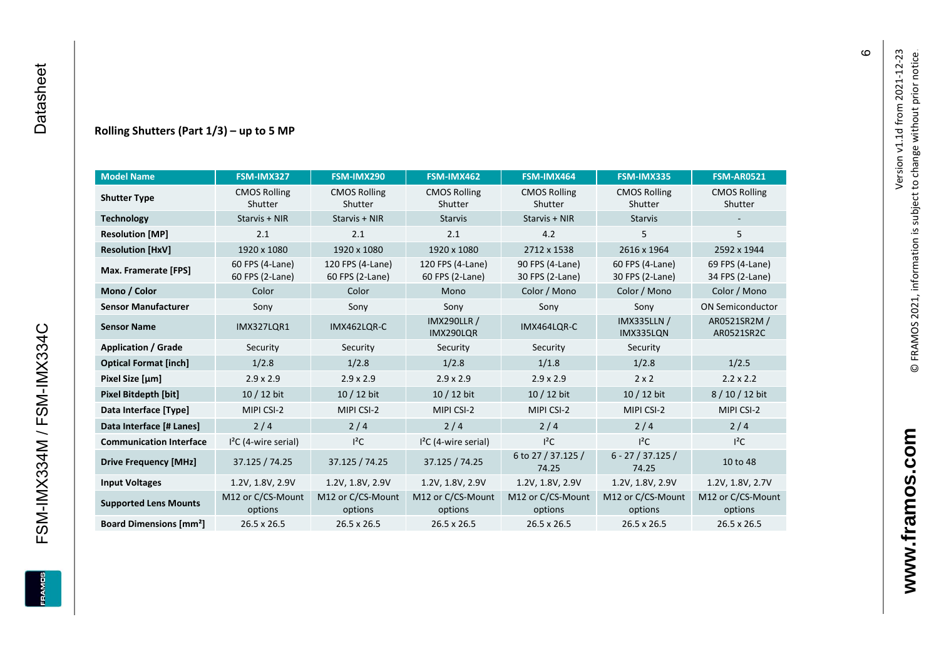#### **Rolling Shutters (Part 1/ 3 ) – up to 5 MP**

| <b>Model Name</b>                        | FSM-IMX327                         | FSM-IMX290                          | FSM-IMX462                          | FSM-IMX464                         | FSM-IMX335                         | <b>FSM-AR0521</b>                  |
|------------------------------------------|------------------------------------|-------------------------------------|-------------------------------------|------------------------------------|------------------------------------|------------------------------------|
| <b>Shutter Type</b>                      | <b>CMOS Rolling</b><br>Shutter     | <b>CMOS Rolling</b><br>Shutter      | <b>CMOS Rolling</b><br>Shutter      | <b>CMOS Rolling</b><br>Shutter     | <b>CMOS Rolling</b><br>Shutter     | <b>CMOS Rolling</b><br>Shutter     |
| <b>Technology</b>                        | Starvis + NIR                      | Starvis + NIR                       | <b>Starvis</b>                      | Starvis + NIR                      | <b>Starvis</b>                     |                                    |
| <b>Resolution [MP]</b>                   | 2.1                                | 2.1                                 | 2.1                                 | 4.2                                | 5                                  | 5                                  |
| <b>Resolution [HxV]</b>                  | 1920 x 1080                        | 1920 x 1080                         | 1920 x 1080                         | 2712 x 1538                        | 2616 x 1964                        | 2592 x 1944                        |
| Max. Framerate [FPS]                     | 60 FPS (4-Lane)<br>60 FPS (2-Lane) | 120 FPS (4-Lane)<br>60 FPS (2-Lane) | 120 FPS (4-Lane)<br>60 FPS (2-Lane) | 90 FPS (4-Lane)<br>30 FPS (2-Lane) | 60 FPS (4-Lane)<br>30 FPS (2-Lane) | 69 FPS (4-Lane)<br>34 FPS (2-Lane) |
| Mono / Color                             | Color                              | Color                               | Mono                                | Color / Mono                       | Color / Mono                       | Color / Mono                       |
| <b>Sensor Manufacturer</b>               | Sony                               | Sony                                | Sony                                | Sony                               | Sony                               | <b>ON Semiconductor</b>            |
| <b>Sensor Name</b>                       | <b>IMX327LOR1</b>                  | IMX462LQR-C                         | <b>IMX290LLR /</b><br>IMX290LQR     | IMX464LQR-C                        | <b>IMX335LLN /</b><br>IMX335LQN    | AR0521SR2M /<br>AR0521SR2C         |
| <b>Application / Grade</b>               | Security                           | Security                            | Security                            | Security                           | Security                           |                                    |
| <b>Optical Format [inch]</b>             | 1/2.8                              | 1/2.8                               | 1/2.8                               | 1/1.8                              | 1/2.8                              | 1/2.5                              |
| Pixel Size [µm]                          | $2.9 \times 2.9$                   | $2.9 \times 2.9$                    | $2.9 \times 2.9$                    | $2.9 \times 2.9$                   | $2 \times 2$                       | $2.2 \times 2.2$                   |
| <b>Pixel Bitdepth [bit]</b>              | 10 / 12 bit                        | 10 / 12 bit                         | 10 / 12 bit                         | 10 / 12 bit                        | 10 / 12 bit                        | 8/10/12 bit                        |
| Data Interface [Type]                    | MIPI CSI-2                         | MIPI CSI-2                          | MIPI CSI-2                          | MIPI CSI-2                         | MIPI CSI-2                         | MIPI CSI-2                         |
| Data Interface [# Lanes]                 | 2/4                                | 2/4                                 | 2/4                                 | 2/4                                | 2/4                                | 2/4                                |
| <b>Communication Interface</b>           | $I2C$ (4-wire serial)              | $l^2C$                              | $12C$ (4-wire serial)               | $I^2C$                             | $I^2C$                             | $l^2C$                             |
| <b>Drive Frequency [MHz]</b>             | 37.125 / 74.25                     | 37.125 / 74.25                      | 37.125 / 74.25                      | 6 to 27 / 37.125 /<br>74.25        | $6 - 27 / 37.125 /$<br>74.25       | 10 to 48                           |
| <b>Input Voltages</b>                    | 1.2V, 1.8V, 2.9V                   | 1.2V, 1.8V, 2.9V                    | 1.2V, 1.8V, 2.9V                    | 1.2V, 1.8V, 2.9V                   | 1.2V, 1.8V, 2.9V                   | 1.2V, 1.8V, 2.7V                   |
| <b>Supported Lens Mounts</b>             | M12 or C/CS-Mount<br>options       | M12 or C/CS-Mount<br>options        | M12 or C/CS-Mount<br>options        | M12 or C/CS-Mount<br>options       | M12 or C/CS-Mount<br>options       | M12 or C/CS-Mount<br>options       |
| <b>Board Dimensions [mm<sup>2</sup>]</b> | $26.5 \times 26.5$                 | 26.5 x 26.5                         | 26.5 x 26.5                         | $26.5 \times 26.5$                 | 26.5 x 26.5                        | 26.5 x 26.5                        |

FSM-IMX334M / FSM-IMX334C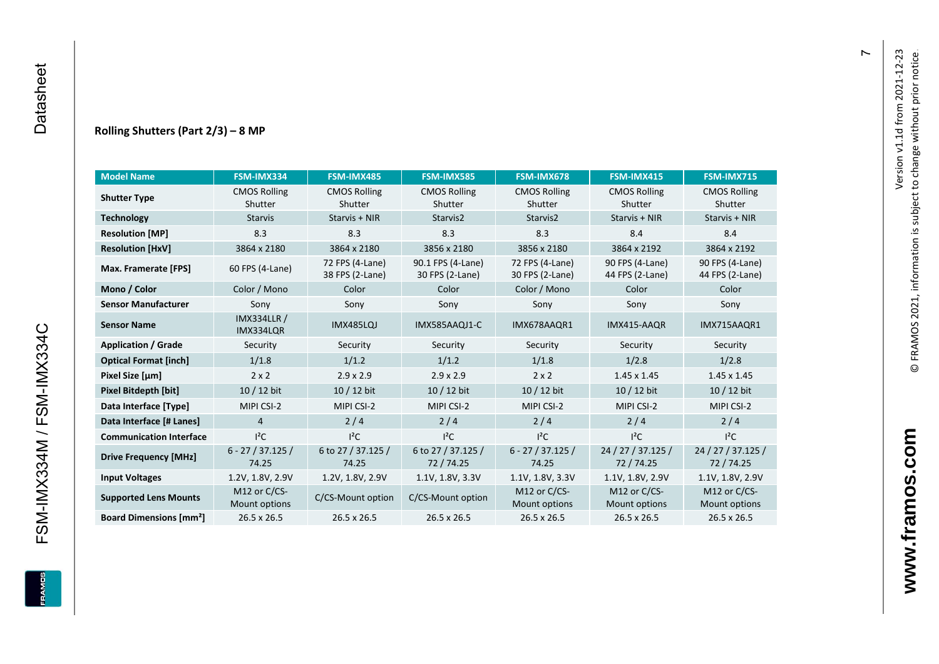## **Rolling Shutters (Part 2/ 3 ) – 8 MP**

| <b>Model Name</b>                        | FSM-IMX334                      | FSM-IMX485                         | <b>FSM-IMX585</b>                    | FSM-IMX678                         | FSM-IMX415                         | <b>FSM-IMX715</b>                  |
|------------------------------------------|---------------------------------|------------------------------------|--------------------------------------|------------------------------------|------------------------------------|------------------------------------|
| <b>Shutter Type</b>                      | <b>CMOS Rolling</b>             | <b>CMOS Rolling</b>                | <b>CMOS Rolling</b>                  | <b>CMOS Rolling</b>                | <b>CMOS Rolling</b>                | <b>CMOS Rolling</b>                |
|                                          | Shutter                         | Shutter                            | Shutter                              | Shutter                            | Shutter                            | Shutter                            |
| <b>Technology</b>                        | <b>Starvis</b>                  | Starvis + NIR                      | Starvis2                             | Starvis2                           | Starvis + NIR                      | Starvis + NIR                      |
| <b>Resolution [MP]</b>                   | 8.3                             | 8.3                                | 8.3                                  | 8.3                                | 8.4                                | 8.4                                |
| <b>Resolution [HxV]</b>                  | 3864 x 2180                     | 3864 x 2180                        | 3856 x 2180                          | 3856 x 2180                        | 3864 x 2192                        | 3864 x 2192                        |
| Max. Framerate [FPS]                     | 60 FPS (4-Lane)                 | 72 FPS (4-Lane)<br>38 FPS (2-Lane) | 90.1 FPS (4-Lane)<br>30 FPS (2-Lane) | 72 FPS (4-Lane)<br>30 FPS (2-Lane) | 90 FPS (4-Lane)<br>44 FPS (2-Lane) | 90 FPS (4-Lane)<br>44 FPS (2-Lane) |
| Mono / Color                             | Color / Mono                    | Color                              | Color                                | Color / Mono                       | Color                              | Color                              |
| <b>Sensor Manufacturer</b>               | Sony                            | Sony                               | Sony                                 | Sony                               | Sony                               | Sony                               |
| <b>Sensor Name</b>                       | <b>IMX334LLR /</b><br>IMX334LQR | <b>IMX485LQJ</b>                   | IMX585AAQJ1-C                        | IMX678AAQR1                        | IMX415-AAQR                        | IMX715AAQR1                        |
| <b>Application / Grade</b>               | Security                        | Security                           | Security                             | Security                           | Security                           | Security                           |
| <b>Optical Format [inch]</b>             | 1/1.8                           | 1/1.2                              | 1/1.2                                | 1/1.8                              | 1/2.8                              | 1/2.8                              |
| Pixel Size [µm]                          | $2 \times 2$                    | $2.9 \times 2.9$                   | $2.9 \times 2.9$                     | $2 \times 2$                       | $1.45 \times 1.45$                 | $1.45 \times 1.45$                 |
| <b>Pixel Bitdepth [bit]</b>              | 10 / 12 bit                     | 10 / 12 bit                        | 10 / 12 bit                          | 10 / 12 bit                        | 10 / 12 bit                        | $10/12$ bit                        |
| Data Interface [Type]                    | MIPI CSI-2                      | MIPI CSI-2                         | MIPI CSI-2                           | MIPI CSI-2                         | MIPI CSI-2                         | MIPI CSI-2                         |
| Data Interface [# Lanes]                 | $\overline{4}$                  | 2/4                                | 2/4                                  | 2/4                                | 2/4                                | 2/4                                |
| <b>Communication Interface</b>           | $I^2C$                          | $I^2C$                             | $I^2C$                               | $I^2C$                             | $I^2C$                             | $I^2C$                             |
| <b>Drive Frequency [MHz]</b>             | $6 - 27 / 37.125 /$<br>74.25    | 6 to 27 / 37.125 /<br>74.25        | 6 to 27 / 37.125 /<br>72/74.25       | $6 - 27 / 37.125 /$<br>74.25       | 24 / 27 / 37.125 /<br>72/74.25     | 24 / 27 / 37.125 /<br>72 / 74.25   |
| <b>Input Voltages</b>                    | 1.2V, 1.8V, 2.9V                | 1.2V, 1.8V, 2.9V                   | 1.1V, 1.8V, 3.3V                     | 1.1V, 1.8V, 3.3V                   | 1.1V, 1.8V, 2.9V                   | 1.1V, 1.8V, 2.9V                   |
| <b>Supported Lens Mounts</b>             | M12 or C/CS-<br>Mount options   | C/CS-Mount option                  | C/CS-Mount option                    | M12 or $C/CS$ -<br>Mount options   | M12 or C/CS-<br>Mount options      | M12 or C/CS-<br>Mount options      |
| <b>Board Dimensions [mm<sup>2</sup>]</b> | 26.5 x 26.5                     | $26.5 \times 26.5$                 | $26.5 \times 26.5$                   | 26.5 x 26.5                        | $26.5 \times 26.5$                 | $26.5 \times 26.5$                 |

 $\overline{r}$ 

FSM-IMX334M / FSM-IMX334C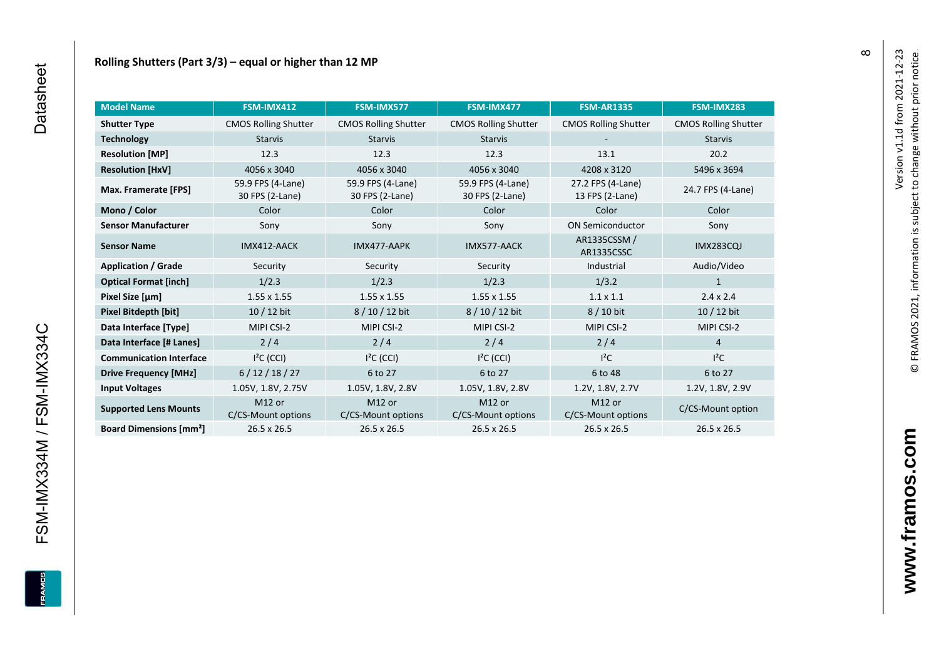| <b>Model Name</b>                        | <b>FSM-IMX412</b>                        | FSM-IMX577                               | FSM-IMX477                               | <b>FSM-AR1335</b>                    | FSM-IMX283                  |
|------------------------------------------|------------------------------------------|------------------------------------------|------------------------------------------|--------------------------------------|-----------------------------|
| <b>Shutter Type</b>                      | <b>CMOS Rolling Shutter</b>              | <b>CMOS Rolling Shutter</b>              | <b>CMOS Rolling Shutter</b>              | <b>CMOS Rolling Shutter</b>          | <b>CMOS Rolling Shutter</b> |
| <b>Technology</b>                        | <b>Starvis</b>                           | <b>Starvis</b>                           | <b>Starvis</b>                           |                                      | <b>Starvis</b>              |
| <b>Resolution [MP]</b>                   | 12.3                                     | 12.3                                     | 12.3                                     | 13.1                                 | 20.2                        |
| <b>Resolution [HxV]</b>                  | 4056 x 3040                              | 4056 x 3040                              | 4056 x 3040                              | 4208 x 3120                          | 5496 x 3694                 |
| Max. Framerate [FPS]                     | 59.9 FPS (4-Lane)<br>30 FPS (2-Lane)     | 59.9 FPS (4-Lane)<br>30 FPS (2-Lane)     | 59.9 FPS (4-Lane)<br>30 FPS (2-Lane)     | 27.2 FPS (4-Lane)<br>13 FPS (2-Lane) | 24.7 FPS (4-Lane)           |
| Mono / Color                             | Color                                    | Color                                    | Color                                    | Color                                | Color                       |
| <b>Sensor Manufacturer</b>               | Sony                                     | Sony                                     | Sony                                     | <b>ON Semiconductor</b>              | Sony                        |
| <b>Sensor Name</b>                       | IMX412-AACK                              | IMX477-AAPK                              | IMX577-AACK                              | AR1335CSSM /<br>AR1335CSSC           | <b>IMX283CQJ</b>            |
| <b>Application / Grade</b>               | Security                                 | Security                                 | Security                                 | Industrial                           | Audio/Video                 |
| <b>Optical Format [inch]</b>             | 1/2.3                                    | 1/2.3                                    | 1/2.3                                    | 1/3.2                                | 1                           |
| Pixel Size [µm]                          | $1.55 \times 1.55$                       | $1.55 \times 1.55$                       | $1.55 \times 1.55$                       | $1.1 \times 1.1$                     | $2.4 \times 2.4$            |
| Pixel Bitdepth [bit]                     | $10/12$ bit                              | 8/10/12 bit                              | 8/10/12 bit                              | 8 / 10 bit                           | $10/12$ bit                 |
| Data Interface [Type]                    | MIPI CSI-2                               | MIPI CSI-2                               | MIPI CSI-2                               | MIPI CSI-2                           | MIPI CSI-2                  |
| Data Interface [# Lanes]                 | $2/4$                                    | 2/4                                      | 2/4                                      | 2/4                                  | $\overline{4}$              |
| <b>Communication Interface</b>           | $I2C$ (CCI)                              | $I2C$ (CCI)                              | $I2C$ (CCI)                              | $l^2C$                               | $I^2C$                      |
| <b>Drive Frequency [MHz]</b>             | 6/12/18/27                               | 6 to 27                                  | 6 to 27                                  | 6 to 48                              | 6 to 27                     |
| <b>Input Voltages</b>                    | 1.05V, 1.8V, 2.75V                       | 1.05V, 1.8V, 2.8V                        | 1.05V, 1.8V, 2.8V                        | 1.2V, 1.8V, 2.7V                     | 1.2V, 1.8V, 2.9V            |
| <b>Supported Lens Mounts</b>             | M <sub>12</sub> or<br>C/CS-Mount options | M <sub>12</sub> or<br>C/CS-Mount options | M <sub>12</sub> or<br>C/CS-Mount options | M12 or<br>C/CS-Mount options         | C/CS-Mount option           |
| <b>Board Dimensions [mm<sup>2</sup>]</b> | $26.5 \times 26.5$                       | $26.5 \times 26.5$                       | $26.5 \times 26.5$                       | 26.5 x 26.5                          | 26.5 x 26.5                 |

© FRAMOS 2021, information i[s su](mailto:sales@framos.de)bject to change without prior notice.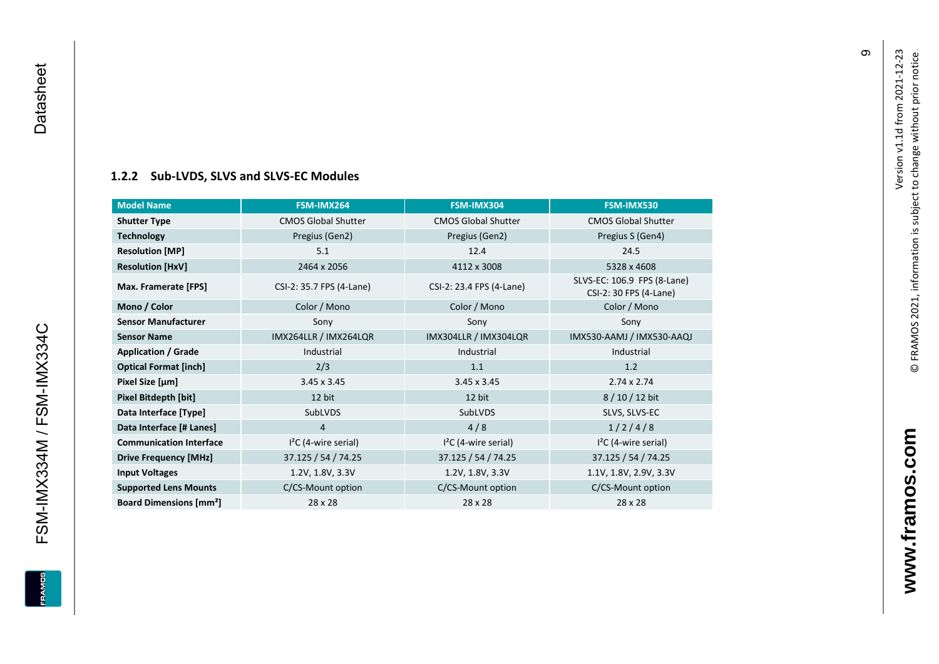FSM-IMX334M / FSM-IMX334C Datasheet

<span id="page-10-0"></span>FSM-IMX334M / FSM-IMX334C

**EDWARE** 

Datasheet

# **[1.2.2](#page-0-7) Sub -LVDS, SLVS and SLVS -EC Modules**

| <b>Model Name</b>                        | FSM-IMX264                 | FSM-IMX304                 | FSM-IMX530                                            |
|------------------------------------------|----------------------------|----------------------------|-------------------------------------------------------|
| <b>Shutter Type</b>                      | <b>CMOS Global Shutter</b> | <b>CMOS Global Shutter</b> | <b>CMOS Global Shutter</b>                            |
| <b>Technology</b>                        | Pregius (Gen2)             | Pregius (Gen2)             | Pregius S (Gen4)                                      |
| <b>Resolution [MP]</b>                   | 5.1                        | 12.4                       | 24.5                                                  |
| <b>Resolution [HxV]</b>                  | 2464 x 2056                | 4112 x 3008                | 5328 x 4608                                           |
| Max. Framerate [FPS]                     | CSI-2: 35.7 FPS (4-Lane)   | CSI-2: 23.4 FPS (4-Lane)   | SLVS-EC: 106.9 FPS (8-Lane)<br>CSI-2: 30 FPS (4-Lane) |
| Mono / Color                             | Color / Mono               | Color / Mono               | Color / Mono                                          |
| <b>Sensor Manufacturer</b>               | Sony                       | Sony                       | Sony                                                  |
| <b>Sensor Name</b>                       | IMX264LLR / IMX264LQR      | IMX304LLR / IMX304LQR      | IMX530-AAMJ / IMX530-AAQJ                             |
| <b>Application / Grade</b>               | Industrial                 | Industrial                 | Industrial                                            |
| <b>Optical Format [inch]</b>             | 2/3                        | 1.1                        | 1.2                                                   |
| Pixel Size [µm]                          | $3.45 \times 3.45$         | $3.45 \times 3.45$         | $2.74 \times 2.74$                                    |
| Pixel Bitdepth [bit]                     | 12 bit                     | 12 bit                     | 8/10/12 bit                                           |
| Data Interface [Type]                    | SubLVDS                    | SubLVDS                    | SLVS, SLVS-EC                                         |
| Data Interface [# Lanes]                 | 4                          | 4/8                        | 1/2/4/8                                               |
| <b>Communication Interface</b>           | $I2C$ (4-wire serial)      | $I2C$ (4-wire serial)      | $I2C$ (4-wire serial)                                 |
| <b>Drive Frequency [MHz]</b>             | 37.125 / 54 / 74.25        | 37.125 / 54 / 74.25        | 37.125 / 54 / 74.25                                   |
| <b>Input Voltages</b>                    | 1.2V, 1.8V, 3.3V           | 1.2V, 1.8V, 3.3V           | 1.1V, 1.8V, 2.9V, 3.3V                                |
| <b>Supported Lens Mounts</b>             | C/CS-Mount option          | C/CS-Mount option          | C/CS-Mount option                                     |
| <b>Board Dimensions [mm<sup>2</sup>]</b> | $28 \times 28$             | $28 \times 28$             | 28 x 28                                               |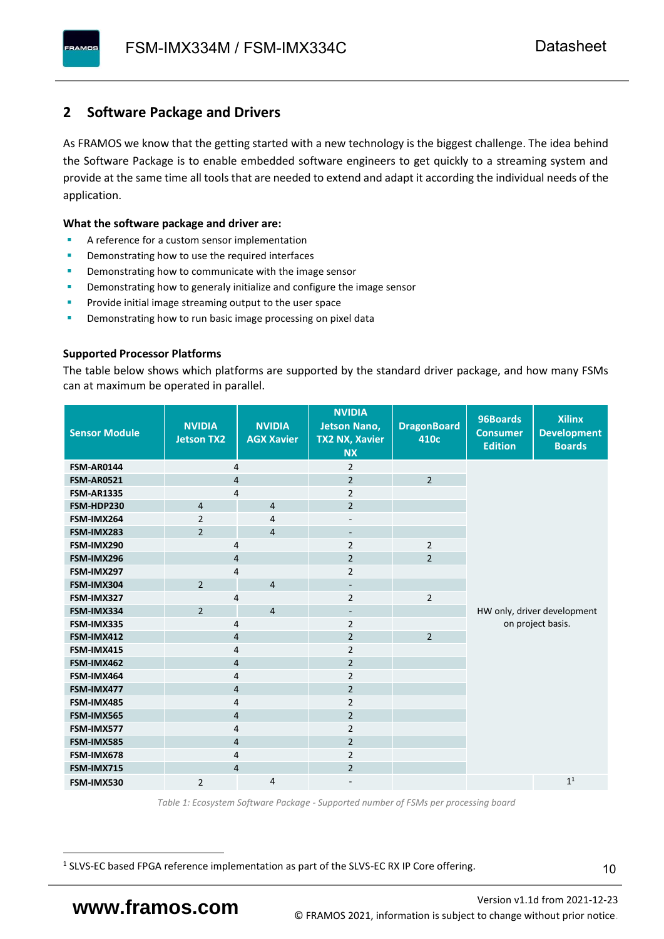# <span id="page-11-0"></span>**2 Software Package and Drivers**

As FRAMOS we know that the getting started with a new technology is the biggest challenge. The idea behind the Software Package is to enable embedded software engineers to get quickly to a streaming system and provide at the same time all tools that are needed to extend and adapt it according the individual needs of the application.

#### **What the software package and driver are:**

- A reference for a custom sensor implementation
- Demonstrating how to use the required interfaces
- Demonstrating how to communicate with the image sensor
- Demonstrating how to generaly initialize and configure the image sensor
- Provide initial image streaming output to the user space
- Demonstrating how to run basic image processing on pixel data

#### **Supported Processor Platforms**

The table below shows which platforms are supported by the standard driver package, and how many FSMs can at maximum be operated in parallel.

| <b>Sensor Module</b> | <b>NVIDIA</b><br><b>Jetson TX2</b> | <b>NVIDIA</b><br><b>AGX Xavier</b> | <b>NVIDIA</b><br><b>Jetson Nano,</b><br><b>TX2 NX, Xavier</b><br><b>NX</b> | <b>DragonBoard</b><br>410c | 96Boards<br><b>Consumer</b><br><b>Edition</b> | <b>Xilinx</b><br><b>Development</b><br><b>Boards</b> |  |
|----------------------|------------------------------------|------------------------------------|----------------------------------------------------------------------------|----------------------------|-----------------------------------------------|------------------------------------------------------|--|
| <b>FSM-AR0144</b>    | 4                                  |                                    | $\overline{2}$                                                             |                            |                                               |                                                      |  |
| <b>FSM-AR0521</b>    | $\overline{4}$                     |                                    | $\overline{2}$                                                             | $\overline{2}$             |                                               |                                                      |  |
| <b>FSM-AR1335</b>    | 4                                  |                                    | $\overline{2}$                                                             |                            |                                               |                                                      |  |
| FSM-HDP230           | $\overline{4}$                     | $\overline{4}$                     | $\overline{2}$                                                             |                            |                                               |                                                      |  |
| FSM-IMX264           | $\overline{2}$                     | $\overline{4}$                     | $\overline{\phantom{a}}$                                                   |                            |                                               |                                                      |  |
| FSM-IMX283           | $\overline{2}$                     | $\overline{4}$                     | $\overline{\phantom{a}}$                                                   |                            |                                               |                                                      |  |
| FSM-IMX290           | 4                                  |                                    | $\overline{2}$                                                             | $\overline{2}$             |                                               |                                                      |  |
| FSM-IMX296           | 4                                  |                                    | $\overline{2}$                                                             | $\overline{2}$             |                                               |                                                      |  |
| FSM-IMX297           | 4                                  |                                    | $\overline{2}$                                                             |                            |                                               |                                                      |  |
| FSM-IMX304           | $\overline{2}$                     | $\overline{4}$                     | $\overline{\phantom{a}}$                                                   |                            |                                               |                                                      |  |
| FSM-IMX327           | 4                                  |                                    | $\overline{2}$                                                             | $\overline{2}$             |                                               |                                                      |  |
| FSM-IMX334           | $\overline{2}$                     | $\overline{4}$                     | $\overline{\phantom{a}}$                                                   |                            |                                               | HW only, driver development                          |  |
| FSM-IMX335           | 4                                  |                                    | $\overline{2}$                                                             |                            | on project basis.                             |                                                      |  |
| FSM-IMX412           | $\overline{4}$                     |                                    | $\overline{2}$                                                             | $\overline{2}$             |                                               |                                                      |  |
| FSM-IMX415           | 4                                  |                                    | $\overline{2}$                                                             |                            |                                               |                                                      |  |
| FSM-IMX462           | $\overline{\mathbf{4}}$            |                                    | $\overline{2}$                                                             |                            |                                               |                                                      |  |
| FSM-IMX464           | $\overline{4}$                     |                                    | $\overline{2}$                                                             |                            |                                               |                                                      |  |
| FSM-IMX477           | $\overline{4}$                     |                                    | $\overline{2}$                                                             |                            |                                               |                                                      |  |
| FSM-IMX485           | $\overline{4}$                     |                                    | $\overline{2}$                                                             |                            |                                               |                                                      |  |
| FSM-IMX565           | $\overline{4}$                     |                                    | $\overline{2}$                                                             |                            |                                               |                                                      |  |
| FSM-IMX577           | $\overline{4}$                     |                                    | $\overline{2}$                                                             |                            |                                               |                                                      |  |
| FSM-IMX585           | $\overline{4}$                     |                                    | $\overline{2}$                                                             |                            |                                               |                                                      |  |
| FSM-IMX678           | 4                                  |                                    | $\overline{2}$                                                             |                            |                                               |                                                      |  |
| FSM-IMX715           | $\overline{4}$                     |                                    | $\overline{2}$                                                             |                            |                                               |                                                      |  |
| FSM-IMX530           | $\overline{2}$                     | $\overline{4}$                     |                                                                            |                            |                                               | 1 <sup>1</sup>                                       |  |

*Table 1: Ecosystem Software Package - Supported number of FSMs per processing board*

<sup>1</sup> SLVS-EC based FPGA reference implementation as part of the SLVS-EC RX IP Core offering.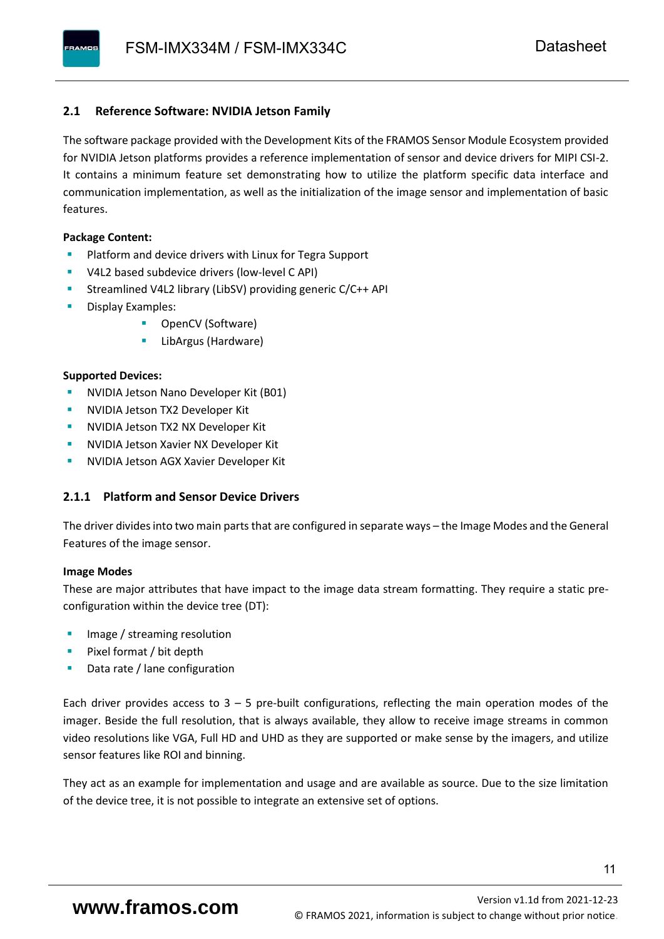# <span id="page-12-0"></span>**2.1 Reference Software: NVIDIA Jetson Family**

The software package provided with the Development Kits of the FRAMOS Sensor Module Ecosystem provided for NVIDIA Jetson platforms provides a reference implementation of sensor and device drivers for MIPI CSI-2. It contains a minimum feature set demonstrating how to utilize the platform specific data interface and communication implementation, as well as the initialization of the image sensor and implementation of basic features.

#### **Package Content:**

- Platform and device drivers with Linux for Tegra Support
- V4L2 based subdevice drivers (low-level C API)
- Streamlined V4L2 library (LibSV) providing generic C/C++ API
- Display Examples:
	- OpenCV (Software)
	- LibArgus (Hardware)

#### **Supported Devices:**

- **NVIDIA Jetson Nano Developer Kit (B01)**
- **NVIDIA Jetson TX2 Developer Kit**
- NVIDIA Jetson TX2 NX Developer Kit
- **NVIDIA Jetson Xavier NX Developer Kit**
- **NVIDIA Jetson AGX Xavier Developer Kit**

# <span id="page-12-1"></span>**2.1.1 Platform and Sensor Device Drivers**

The driver divides into two main parts that are configured in separate ways – the Image Modes and the General Features of the image sensor.

#### **Image Modes**

These are major attributes that have impact to the image data stream formatting. They require a static preconfiguration within the device tree (DT):

- Image / streaming resolution
- Pixel format / bit depth
- Data rate / lane configuration

Each driver provides access to  $3 - 5$  pre-built configurations, reflecting the main operation modes of the imager. Beside the full resolution, that is always available, they allow to receive image streams in common video resolutions like VGA, Full HD and UHD as they are supported or make sense by the imagers, and utilize sensor features like ROI and binning.

They act as an example for implementation and usage and are available as source. Due to the size limitation of the device tree, it is not possible to integrate an extensive set of options.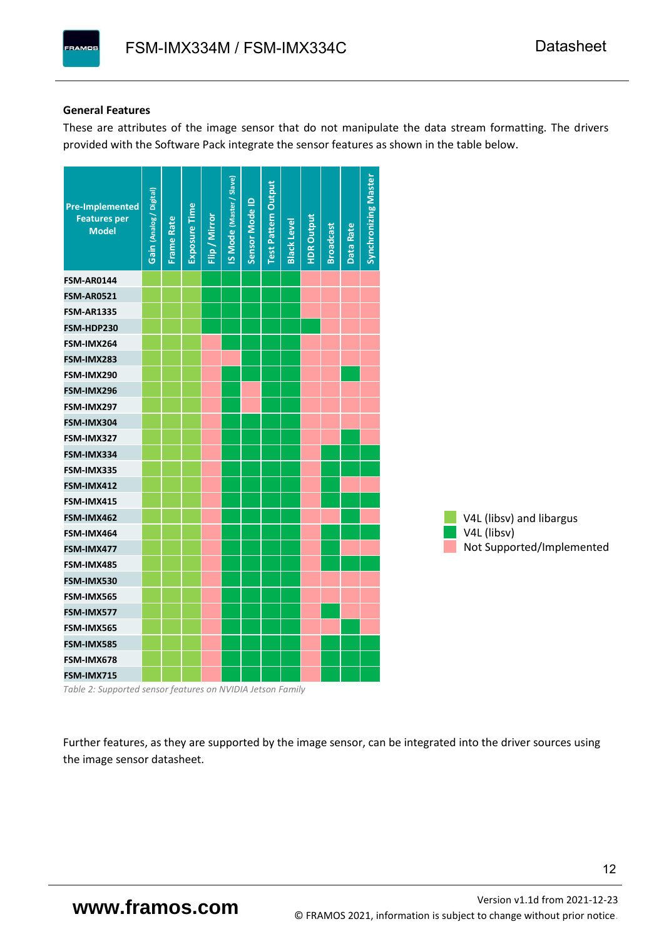#### **General Features**

**PAMOS** 

These are attributes of the image sensor that do not manipulate the data stream formatting. The drivers provided with the Software Pack integrate the sensor features as shown in the table below.



*Table 2: Supported sensor features on NVIDIA Jetson Family*

Further features, as they are supported by the image sensor, can be integrated into the driver sources using the image sensor datasheet.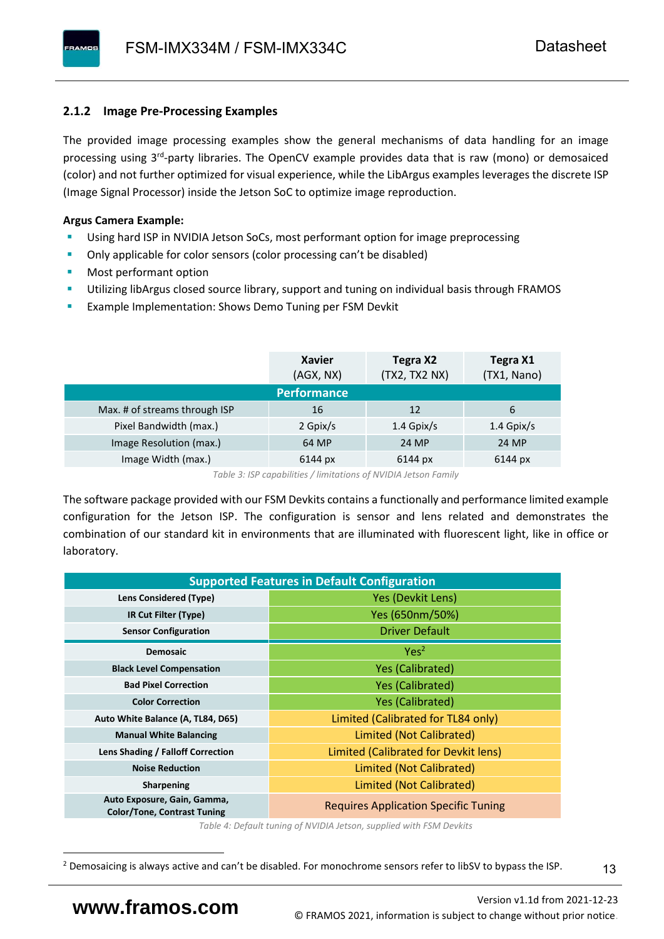# <span id="page-14-0"></span>**2.1.2 Image Pre-Processing Examples**

The provided image processing examples show the general mechanisms of data handling for an image processing using 3<sup>rd</sup>-party libraries. The OpenCV example provides data that is raw (mono) or demosaiced (color) and not further optimized for visual experience, while the LibArgus examples leverages the discrete ISP (Image Signal Processor) inside the Jetson SoC to optimize image reproduction.

## **Argus Camera Example:**

- Using hard ISP in NVIDIA Jetson SoCs, most performant option for image preprocessing
- Only applicable for color sensors (color processing can't be disabled)
- Most performant option
- Utilizing libArgus closed source library, support and tuning on individual basis through FRAMOS
- Example Implementation: Shows Demo Tuning per FSM Devkit

|                               | <b>Xavier</b><br>(AGX, NX) | Tegra X2<br>(TX2, TX2 NX) | Tegra X1<br>(TX1, Nano) |
|-------------------------------|----------------------------|---------------------------|-------------------------|
|                               | <b>Performance</b>         |                           |                         |
| Max. # of streams through ISP | 16                         | 12                        | 6                       |
| Pixel Bandwidth (max.)        | 2 Gpix/s                   | $1.4$ Gpix/s              | $1.4$ Gpix/s            |
| Image Resolution (max.)       | 64 MP                      | 24 MP                     | 24 MP                   |
| Image Width (max.)            | 6144 px                    | 6144 px                   | 6144 px                 |

*Table 3: ISP capabilities / limitations of NVIDIA Jetson Family*

The software package provided with our FSM Devkits contains a functionally and performance limited example configuration for the Jetson ISP. The configuration is sensor and lens related and demonstrates the combination of our standard kit in environments that are illuminated with fluorescent light, like in office or laboratory.

| <b>Supported Features in Default Configuration</b>                |                                             |  |  |  |  |
|-------------------------------------------------------------------|---------------------------------------------|--|--|--|--|
| Lens Considered (Type)                                            | Yes (Devkit Lens)                           |  |  |  |  |
| IR Cut Filter (Type)                                              | Yes (650nm/50%)                             |  |  |  |  |
| <b>Sensor Configuration</b>                                       | <b>Driver Default</b>                       |  |  |  |  |
| <b>Demosaic</b>                                                   | Yes <sup>2</sup>                            |  |  |  |  |
| <b>Black Level Compensation</b>                                   | <b>Yes (Calibrated)</b>                     |  |  |  |  |
| <b>Bad Pixel Correction</b>                                       | <b>Yes (Calibrated)</b>                     |  |  |  |  |
| <b>Color Correction</b>                                           | <b>Yes (Calibrated)</b>                     |  |  |  |  |
| Auto White Balance (A, TL84, D65)                                 | Limited (Calibrated for TL84 only)          |  |  |  |  |
| <b>Manual White Balancing</b>                                     | Limited (Not Calibrated)                    |  |  |  |  |
| Lens Shading / Falloff Correction                                 | Limited (Calibrated for Devkit lens)        |  |  |  |  |
| <b>Noise Reduction</b>                                            | Limited (Not Calibrated)                    |  |  |  |  |
| <b>Sharpening</b>                                                 | Limited (Not Calibrated)                    |  |  |  |  |
| Auto Exposure, Gain, Gamma,<br><b>Color/Tone, Contrast Tuning</b> | <b>Requires Application Specific Tuning</b> |  |  |  |  |

*Table 4: Default tuning of NVIDIA Jetson, supplied with FSM Devkits*

13

<sup>&</sup>lt;sup>2</sup> Demosaicing is always active and can't be disabled. For monochrome sensors refer to libSV to bypass the ISP.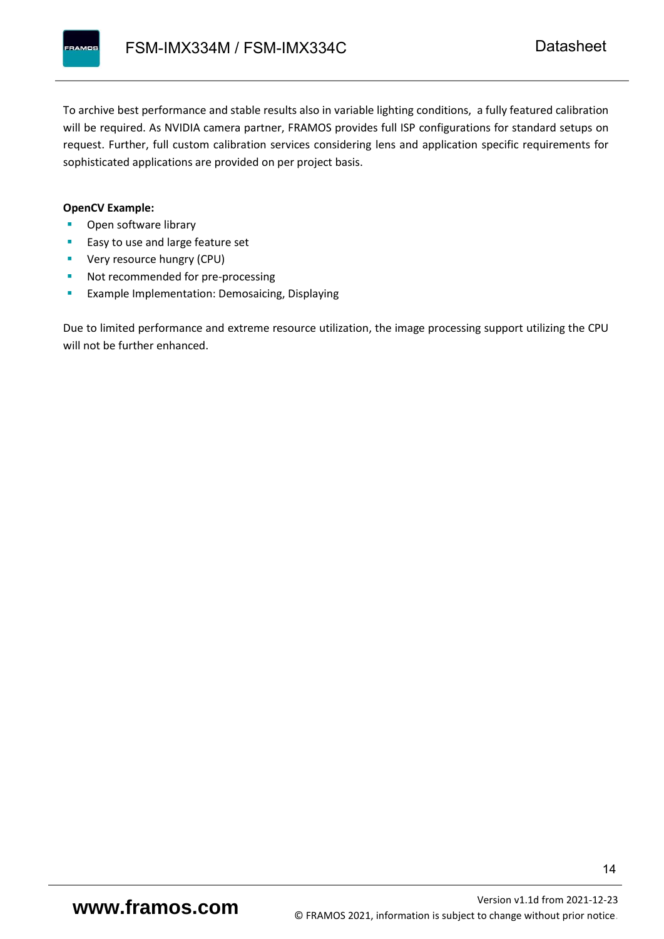To archive best performance and stable results also in variable lighting conditions, a fully featured calibration will be required. As NVIDIA camera partner, FRAMOS provides full ISP configurations for standard setups on request. Further, full custom calibration services considering lens and application specific requirements for sophisticated applications are provided on per project basis.

#### **OpenCV Example:**

- Open software library
- Easy to use and large feature set
- **•** Very resource hungry (CPU)
- Not recommended for pre-processing
- **Example Implementation: Demosaicing, Displaying**

Due to limited performance and extreme resource utilization, the image processing support utilizing the CPU will not be further enhanced.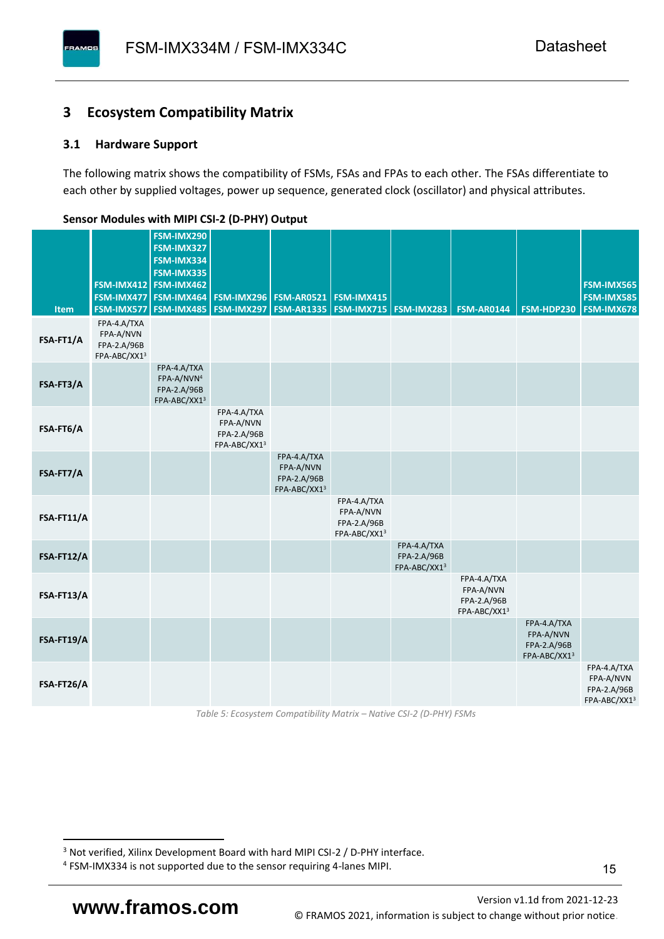# <span id="page-16-0"></span>**3 Ecosystem Compatibility Matrix**

## <span id="page-16-1"></span>**3.1 Hardware Support**

**PAMOS** 

The following matrix shows the compatibility of FSMs, FSAs and FPAs to each other. The FSAs differentiate to each other by supplied voltages, power up sequence, generated clock (oscillator) and physical attributes.

| Item       | FSM-IMX577                                              | FSM-IMX290<br>FSM-IMX327<br>FSM-IMX334<br>FSM-IMX335<br>FSM-IMX412 FSM-IMX462<br>FSM-IMX477 FSM-IMX464<br><b>FSM-IMX485</b> |                                                         | <b>FSM-IMX296 FSM-AR0521</b><br><b>FSM-IMX297   FSM-AR1335  </b> | <b>FSM-IMX415</b>                                       | <b>FSM-IMX715 FSM-IMX283</b>               | <b>FSM-AR0144</b>                                       | FSM-HDP230                                              | <b>FSM-IMX565</b><br><b>FSM-IMX585</b><br><b>FSM-IMX678</b> |
|------------|---------------------------------------------------------|-----------------------------------------------------------------------------------------------------------------------------|---------------------------------------------------------|------------------------------------------------------------------|---------------------------------------------------------|--------------------------------------------|---------------------------------------------------------|---------------------------------------------------------|-------------------------------------------------------------|
| FSA-FT1/A  | FPA-4.A/TXA<br>FPA-A/NVN<br>FPA-2.A/96B<br>FPA-ABC/XX13 |                                                                                                                             |                                                         |                                                                  |                                                         |                                            |                                                         |                                                         |                                                             |
| FSA-FT3/A  |                                                         | FPA-4.A/TXA<br>FPA-A/NVN <sup>4</sup><br>FPA-2.A/96B<br>FPA-ABC/XX13                                                        |                                                         |                                                                  |                                                         |                                            |                                                         |                                                         |                                                             |
| FSA-FT6/A  |                                                         |                                                                                                                             | FPA-4.A/TXA<br>FPA-A/NVN<br>FPA-2.A/96B<br>FPA-ABC/XX13 |                                                                  |                                                         |                                            |                                                         |                                                         |                                                             |
| FSA-FT7/A  |                                                         |                                                                                                                             |                                                         | FPA-4.A/TXA<br>FPA-A/NVN<br>FPA-2.A/96B<br>FPA-ABC/XX13          |                                                         |                                            |                                                         |                                                         |                                                             |
| FSA-FT11/A |                                                         |                                                                                                                             |                                                         |                                                                  | FPA-4.A/TXA<br>FPA-A/NVN<br>FPA-2.A/96B<br>FPA-ABC/XX13 |                                            |                                                         |                                                         |                                                             |
| FSA-FT12/A |                                                         |                                                                                                                             |                                                         |                                                                  |                                                         | FPA-4.A/TXA<br>FPA-2.A/96B<br>FPA-ABC/XX13 |                                                         |                                                         |                                                             |
| FSA-FT13/A |                                                         |                                                                                                                             |                                                         |                                                                  |                                                         |                                            | FPA-4.A/TXA<br>FPA-A/NVN<br>FPA-2.A/96B<br>FPA-ABC/XX13 |                                                         |                                                             |
| FSA-FT19/A |                                                         |                                                                                                                             |                                                         |                                                                  |                                                         |                                            |                                                         | FPA-4.A/TXA<br>FPA-A/NVN<br>FPA-2.A/96B<br>FPA-ABC/XX13 |                                                             |
| FSA-FT26/A |                                                         |                                                                                                                             |                                                         |                                                                  |                                                         |                                            |                                                         |                                                         | FPA-4.A/TXA<br>FPA-A/NVN<br>FPA-2.A/96B<br>FPA-ABC/XX13     |

#### <span id="page-16-2"></span>**Sensor Modules with MIPI CSI-2 (D-PHY) Output**

*Table 5: Ecosystem Compatibility Matrix – Native CSI-2 (D-PHY) FSMs*

<sup>&</sup>lt;sup>3</sup> Not verified, Xilinx Development Board with hard MIPI CSI-2 / D-PHY interface.

<sup>4</sup> FSM-IMX334 is not supported due to the sensor requiring 4-lanes MIPI.